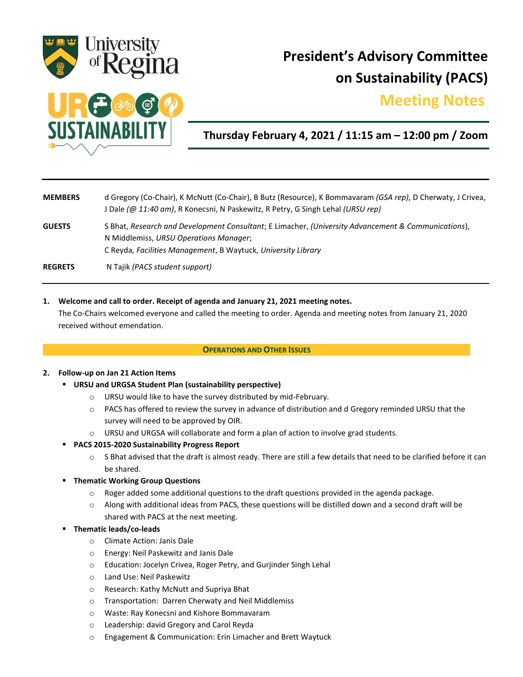

# **President's Advisory Committee on Sustainability (PACS)**

## **Meeting Notes.**



## **Thursday February 4, 2021 / 11:15 am – 12:00 pm / Zoom**

| <b>MEMBERS</b> | d Gregory (Co-Chair), K McNutt (Co-Chair), B Butz (Resource), K Bommavaram (GSA rep), D Cherwaty, J Crivea,<br>J Dale (@ 11:40 am), R Konecsni, N Paskewitz, R Petry, G Singh Lehal (URSU rep)                 |
|----------------|----------------------------------------------------------------------------------------------------------------------------------------------------------------------------------------------------------------|
| <b>GUESTS</b>  | S Bhat, Research and Development Consultant; E Limacher, (University Advancement & Communications),<br>N Middlemiss, URSU Operations Manager;<br>C Reyda, Facilities Management, B Waytuck, University Library |
| <b>REGRETS</b> | N Tajik (PACS student support)                                                                                                                                                                                 |

#### **1. Welcome and call to order. Receipt of agenda and January 21, 2021 meeting notes.**

The Co-Chairs welcomed everyone and called the meeting to order. Agenda and meeting notes from January 21, 2020 received without emendation.

#### **OPERATIONS AND OTHER ISSUES**

#### **2. Follow-up on Jan 21 Action Items**

- **URSU and URGSA Student Plan (sustainability perspective)**
	- o URSU would like to have the survey distributed by mid-February.
	- o PACS has offered to review the survey in advance of distribution and d Gregory reminded URSU that the survey will need to be approved by OIR.
	- o URSU and URGSA will collaborate and form a plan of action to involve grad students.
- **PACS 2015-2020 Sustainability Progress Report**
	- $\circ$  S Bhat advised that the draft is almost ready. There are still a few details that need to be clarified before it can be shared.
- **Thematic Working Group Questions**
	- o Roger added some additional questions to the draft questions provided in the agenda package.
	- $\circ$  Along with additional ideas from PACS, these questions will be distilled down and a second draft will be shared with PACS at the next meeting.
- **Thematic leads/co-leads**
	- o Climate Action: Janis Dale
	- o Energy: Neil Paskewitz and Janis Dale
	- o Education: Jocelyn Crivea, Roger Petry, and Gurjinder Singh Lehal
	- o Land Use: Neil Paskewitz
	- o Research: Kathy McNutt and Supriya Bhat
	- o Transportation: Darren Cherwaty and Neil Middlemiss
	- o Waste: Ray Konecsni and Kishore Bommavaram
	- o Leadership: david Gregory and Carol Reyda
	- o Engagement & Communication: Erin Limacher and Brett Waytuck